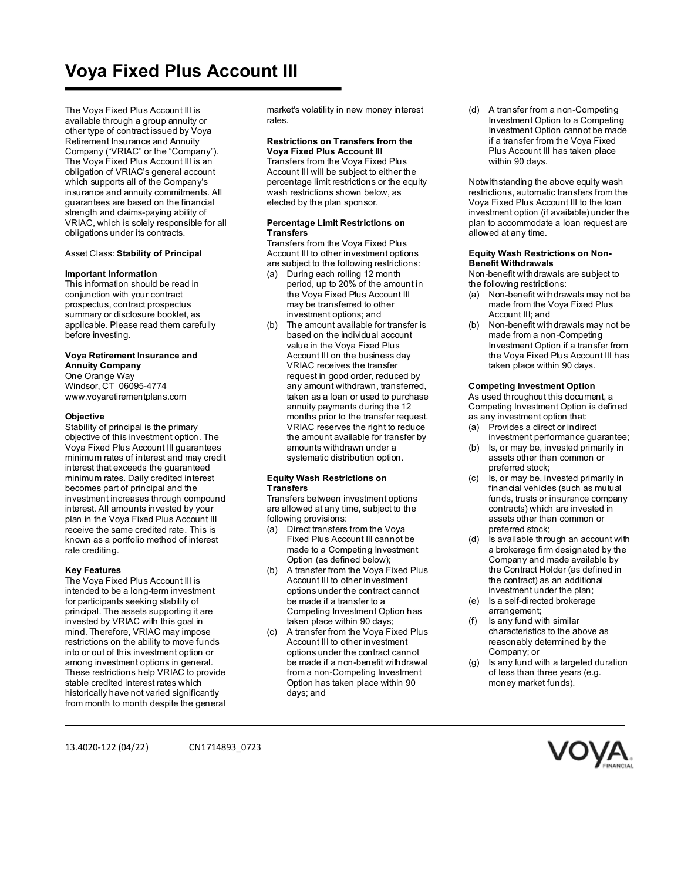# **Voya Fixed Plus Account III**

The Voya Fixed Plus Account III is available through a group annuity or other type of contract issued by Voya Retirement Insurance and Annuity Company ("VRIAC" or the "Company"). The Voya Fixed Plus Account III is an obligation of VRIAC's general account which supports all of the Company's insurance and annuity commitments. All guarantees are based on the financial strength and claims-paying ability of VRIAC, which is solely responsible for all obligations under its contracts.

## Asset Class: **Stability of Principal**

#### **Important Information**

This information should be read in conjunction with your contract prospectus, contract prospectus summary or disclosure booklet, as applicable. Please read them carefully before investing.

## **Voya Retirement Insurance and Annuity Company**

One Orange Way Windsor, CT 06095-4774 www.voyaretirementplans.com

#### **Objective**

Stability of principal is the primary objective of this investment option. The Voya Fixed Plus Account III guarantees minimum rates of interest and may credit interest that exceeds the guaranteed minimum rates. Daily credited interest becomes part of principal and the investment increases through compound interest. All amounts invested by your plan in the Voya Fixed Plus Account III receive the same credited rate. This is known as a portfolio method of interest rate crediting.

### **Key Features**

The Voya Fixed Plus Account III is intended to be a long-term investment for participants seeking stability of principal. The assets supporting it are invested by VRIAC with this goal in mind. Therefore, VRIAC may impose restrictions on the ability to move funds into or out of this investment option or among investment options in general. These restrictions help VRIAC to provide stable credited interest rates which historically have not varied significantly from month to month despite the general market's volatility in new money interest rates.

#### **Restrictions on Transfers from the Voya Fixed Plus Account III**

Transfers from the Voya Fixed Plus Account III will be subject to either the percentage limit restrictions or the equity wash restrictions shown below, as elected by the plan sponsor.

#### **Percentage Limit Restrictions on Transfers**

Transfers from the Voya Fixed Plus Account III to other investment options are subject to the following restrictions:

- (a) During each rolling 12 month period, up to 20% of the amount in the Voya Fixed Plus Account III may be transferred to other investment options; and
- The amount available for transfer is based on the individual account value in the Voya Fixed Plus Account III on the business day VRIAC receives the transfer request in good order, reduced by any amount withdrawn, transferred, taken as a loan or used to purchase annuity payments during the 12 months prior to the transfer request. VRIAC reserves the right to reduce the amount available for transfer by amounts withdrawn under a systematic distribution option.

#### **Equity Wash Restrictions on Transfers**

Transfers between investment options are allowed at any time, subject to the following provisions:

- (a) Direct transfers from the Voya Fixed Plus Account III cannot be made to a Competing Investment Option (as defined below);
- (b) A transfer from the Voya Fixed Plus Account III to other investment options under the contract cannot be made if a transfer to a Competing Investment Option has taken place within 90 days;
- (c) A transfer from the Voya Fixed Plus Account III to other investment options under the contract cannot be made if a non-benefit withdrawal from a non-Competing Investment Option has taken place within 90 days; and

(d) A transfer from a non-Competing Investment Option to a Competing Investment Option cannot be made if a transfer from the Voya Fixed Plus Account III has taken place within 90 days.

Notwithstanding the above equity wash restrictions, automatic transfers from the Voya Fixed Plus Account III to the loan investment option (if available) under the plan to accommodate a loan request are allowed at any time.

#### **Equity Wash Restrictions on Non-Benefit Withdrawals**

Non-benefit withdrawals are subject to the following restrictions:

- (a) Non-benefit withdrawals may not be made from the Voya Fixed Plus Account III; and
- Non-benefit withdrawals may not be made from a non-Competing Investment Option if a transfer from the Voya Fixed Plus Account III has taken place within 90 days.

#### **Competing Investment Option**

As used throughout this document, a Competing Investment Option is defined as any investment option that:

- (a) Provides a direct or indirect investment performance guarantee;
- (b) Is, or may be, invested primarily in assets other than common or preferred stock;
- (c) Is, or may be, invested primarily in financial vehicles (such as mutual funds, trusts or insurance company contracts) which are invested in assets other than common or preferred stock;
- (d) Is available through an account with a brokerage firm designated by the Company and made available by the Contract Holder (as defined in the contract) as an additional investment under the plan;
- (e) Is a self-directed brokerage arrangement;
- (f) Is any fund with similar characteristics to the above as reasonably determined by the Company; or
- (g) Is any fund with a targeted duration of less than three years (e.g. money market funds).